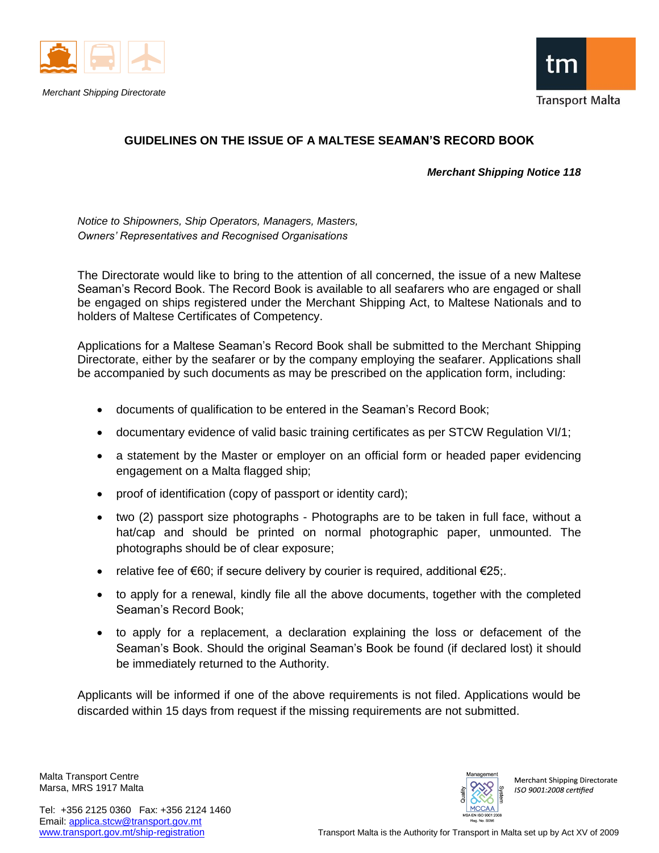

*Merchant Shipping Directorate*



## **GUIDELINES ON THE ISSUE OF A MALTESE SEAMAN'S RECORD BOOK**

*Merchant Shipping Notice 118*

*Notice to Shipowners, Ship Operators, Managers, Masters, Owners' Representatives and Recognised Organisations*

The Directorate would like to bring to the attention of all concerned, the issue of a new Maltese Seaman's Record Book. The Record Book is available to all seafarers who are engaged or shall be engaged on ships registered under the Merchant Shipping Act, to Maltese Nationals and to holders of Maltese Certificates of Competency.

Applications for a Maltese Seaman's Record Book shall be submitted to the Merchant Shipping Directorate, either by the seafarer or by the company employing the seafarer. Applications shall be accompanied by such documents as may be prescribed on the application form, including:

- documents of qualification to be entered in the Seaman's Record Book;
- documentary evidence of valid basic training certificates as per STCW Regulation VI/1;
- a statement by the Master or employer on an official form or headed paper evidencing engagement on a Malta flagged ship;
- proof of identification (copy of passport or identity card);
- two (2) passport size photographs Photographs are to be taken in full face, without a hat/cap and should be printed on normal photographic paper, unmounted. The photographs should be of clear exposure;
- relative fee of  $€60$ ; if secure delivery by courier is required, additional  $€25$ ;
- to apply for a renewal, kindly file all the above documents, together with the completed Seaman's Record Book;
- to apply for a replacement, a declaration explaining the loss or defacement of the Seaman's Book. Should the original Seaman's Book be found (if declared lost) it should be immediately returned to the Authority.

Applicants will be informed if one of the above requirements is not filed. Applications would be discarded within 15 days from request if the missing requirements are not submitted.

Malta Transport Centre Marsa, MRS 1917 Malta



**Merchant Shipping Directorate** ISO 9001:2008 certified